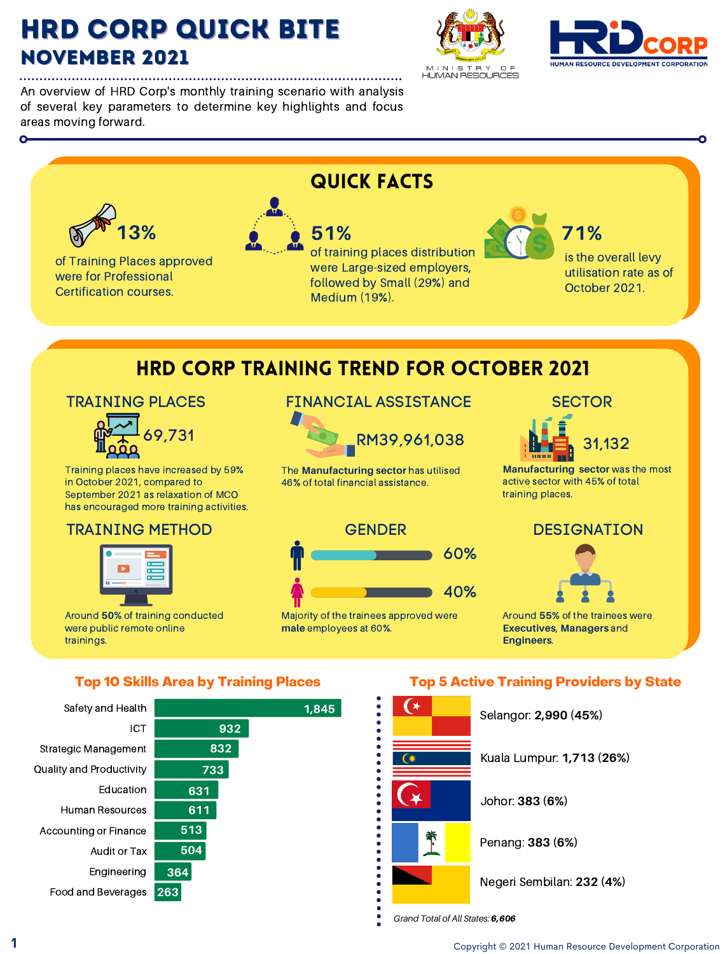# HRD Corp Quick Bite NOVEMBER 2021

An overview of HRD Corp's monthly training scenario with analysis of several key parameters to determine key highlights and focus areas moving forward.







0 500 1,000 1,000 1,000 1,000 1,000 1,000 1,000 1,000 1,000 1,000 1,000 1,000 1,000 1,000 1,000 1,000 1,000 1,<br>- 1000 1,000 1,000 1,000 1,000 1,000 1,000 1,000 1,000 1,000 1,000 1,000 1,000 1,000 1,000 1,000 1,000 1,000 1

*Grand Total of All States:* 6,606